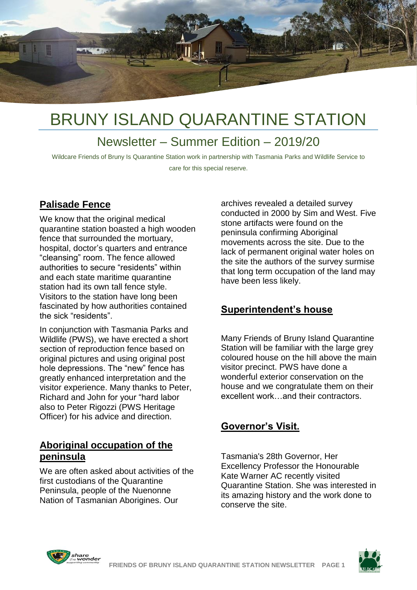

### Newsletter – Summer Edition – 2019/20

Wildcare Friends of Bruny Is Quarantine Station work in partnership with Tasmania Parks and Wildlife Service to care for this special reserve.

#### **Palisade Fence**

We know that the original medical quarantine station boasted a high wooden fence that surrounded the mortuary, hospital, doctor's quarters and entrance "cleansing" room. The fence allowed authorities to secure "residents" within and each state maritime quarantine station had its own tall fence style. Visitors to the station have long been fascinated by how authorities contained the sick "residents".

In conjunction with Tasmania Parks and Wildlife (PWS), we have erected a short section of reproduction fence based on original pictures and using original post hole depressions. The "new" fence has greatly enhanced interpretation and the visitor experience. Many thanks to Peter, Richard and John for your "hard labor also to Peter Rigozzi (PWS Heritage Officer) for his advice and direction.

#### **Aboriginal occupation of the peninsula**

We are often asked about activities of the first custodians of the Quarantine Peninsula, people of the Nuenonne Nation of Tasmanian Aborigines. Our

archives revealed a detailed survey conducted in 2000 by Sim and West. Five stone artifacts were found on the peninsula confirming Aboriginal movements across the site. Due to the lack of permanent original water holes on the site the authors of the survey surmise that long term occupation of the land may have been less likely.

#### **Superintendent's house**

Many Friends of Bruny Island Quarantine Station will be familiar with the large grey coloured house on the hill above the main visitor precinct. PWS have done a wonderful exterior conservation on the house and we congratulate them on their excellent work…and their contractors.

#### **Governor's Visit.**

Tasmania's 28th Governor, Her Excellency Professor the Honourable Kate Warner AC recently visited Quarantine Station. She was interested in its amazing history and the work done to conserve the site.



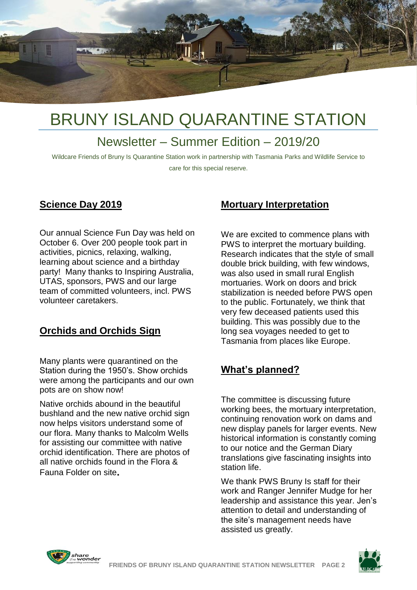

### Newsletter – Summer Edition – 2019/20

Wildcare Friends of Bruny Is Quarantine Station work in partnership with Tasmania Parks and Wildlife Service to care for this special reserve.

#### **Science Day 2019**

Our annual Science Fun Day was held on October 6. Over 200 people took part in activities, picnics, relaxing, walking, learning about science and a birthday party! Many thanks to Inspiring Australia, UTAS, sponsors, PWS and our large team of committed volunteers, incl. PWS volunteer caretakers.

#### **Orchids and Orchids Sign**

Many plants were quarantined on the Station during the 1950's. Show orchids were among the participants and our own pots are on show now!

Native orchids abound in the beautiful bushland and the new native orchid sign now helps visitors understand some of our flora. Many thanks to Malcolm Wells for assisting our committee with native orchid identification. There are photos of all native orchids found in the Flora & Fauna Folder on site**.**

#### **Mortuary Interpretation**

We are excited to commence plans with PWS to interpret the mortuary building. Research indicates that the style of small double brick building, with few windows, was also used in small rural English mortuaries. Work on doors and brick stabilization is needed before PWS open to the public. Fortunately, we think that very few deceased patients used this building. This was possibly due to the long sea voyages needed to get to Tasmania from places like Europe.

#### **What's planned?**

The committee is discussing future working bees, the mortuary interpretation, continuing renovation work on dams and new display panels for larger events. New historical information is constantly coming to our notice and the German Diary translations give fascinating insights into station life.

We thank PWS Bruny Is staff for their work and Ranger Jennifer Mudge for her leadership and assistance this year. Jen's attention to detail and understanding of the site's management needs have assisted us greatly.



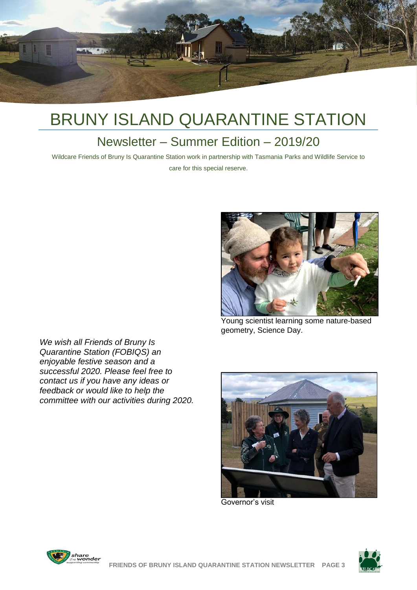

### Newsletter – Summer Edition – 2019/20

Wildcare Friends of Bruny Is Quarantine Station work in partnership with Tasmania Parks and Wildlife Service to care for this special reserve.



Young scientist learning some nature-based geometry, Science Day.

*We wish all Friends of Bruny Is Quarantine Station (FOBIQS) an enjoyable festive season and a successful 2020. Please feel free to contact us if you have any ideas or feedback or would like to help the committee with our activities during 2020.*



Governor's visit



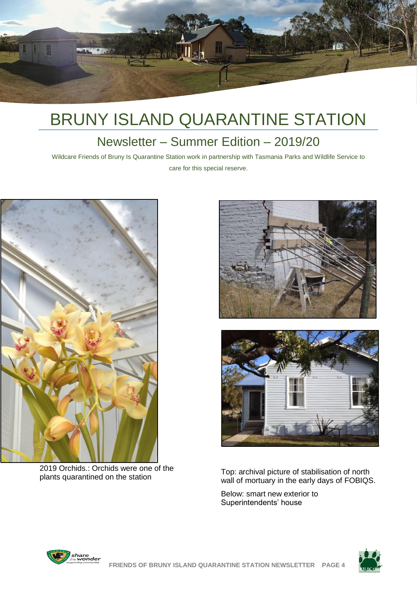

### Newsletter – Summer Edition – 2019/20

Wildcare Friends of Bruny Is Quarantine Station work in partnership with Tasmania Parks and Wildlife Service to care for this special reserve.



2019 Orchids.: Orchids were one of the plants quarantined on the station





Top: archival picture of stabilisation of north wall of mortuary in the early days of FOBIQS.

Below: smart new exterior to Superintendents' house